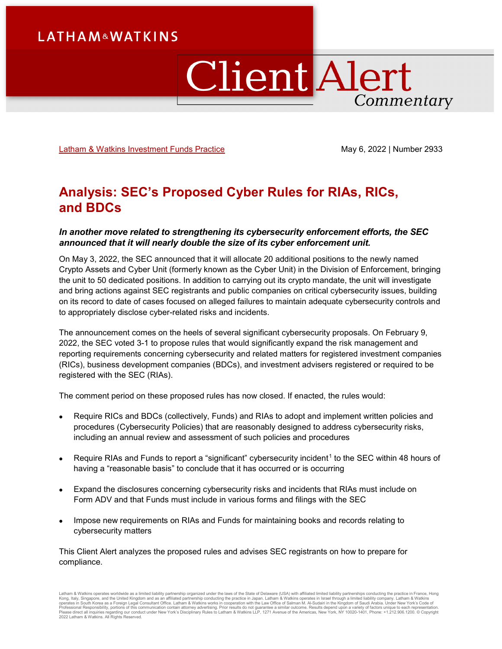## **LATHAM&WATKINS**

# **Client Alert** Commentary

[Latham & Watkins Investment Funds Practice](https://www.lw.com/practices/InvestmentFunds) May 6, 2022 | Number 2933

## **Analysis: SEC's Proposed Cyber Rules for RIAs, RICs, and BDCs**

#### *In another move related to strengthening its cybersecurity enforcement efforts, the SEC announced that it will nearly double the size of its cyber enforcement unit.*

On May 3, 2022, the SEC announced that it will allocate 20 additional positions to the newly named Crypto Assets and Cyber Unit (formerly known as the Cyber Unit) in the Division of Enforcement, bringing the unit to 50 dedicated positions. In addition to carrying out its crypto mandate, the unit will investigate and bring actions against SEC registrants and public companies on critical cybersecurity issues, building on its record to date of cases focused on alleged failures to maintain adequate cybersecurity controls and to appropriately disclose cyber-related risks and incidents.

The announcement comes on the heels of several significant cybersecurity proposals. On February 9, 2022, the SEC voted 3-1 to propose rules that would significantly expand the risk management and reporting requirements concerning cybersecurity and related matters for registered investment companies (RICs), business development companies (BDCs), and investment advisers registered or required to be registered with the SEC (RIAs).

The comment period on these proposed rules has now closed. If enacted, the rules would:

- Require RICs and BDCs (collectively, Funds) and RIAs to adopt and implement written policies and procedures (Cybersecurity Policies) that are reasonably designed to address cybersecurity risks, including an annual review and assessment of such policies and procedures
- Require RIAs and Funds to report a "significant" cybersecurity incident<sup>[1](#page-8-0)</sup> to the SEC within 48 hours of having a "reasonable basis" to conclude that it has occurred or is occurring
- Expand the disclosures concerning cybersecurity risks and incidents that RIAs must include on Form ADV and that Funds must include in various forms and filings with the SEC
- Impose new requirements on RIAs and Funds for maintaining books and records relating to cybersecurity matters

This Client Alert analyzes the proposed rules and advises SEC registrants on how to prepare for compliance.

Latham & Watkins operates worldwide as a limited liability partnership organized under the laws of the State of Delaware (USA) with affiliated limited liability partnerships conducting the practice in France, Hong Kong, Italy, Singapore, and the United Kingdom and as an affiliated partnership conducting the practice in Japan. Latham & Watkins operates in Israel through a limited liability company. Latham & Watkins<br>operates in South 2022 Latham & Watkins. All Rights Reserved.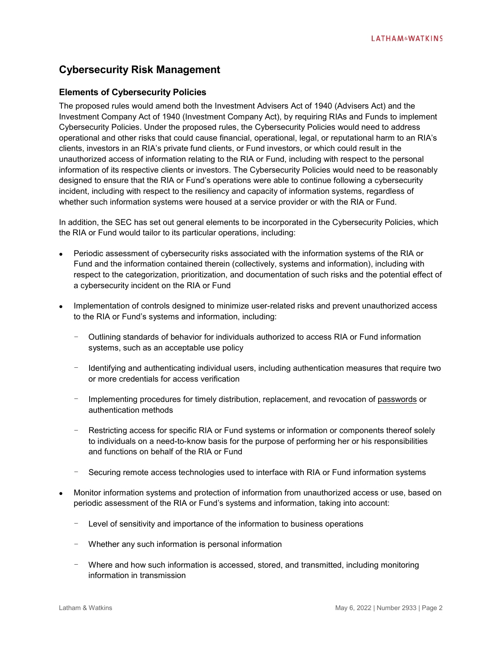### **Cybersecurity Risk Management**

#### **Elements of Cybersecurity Policies**

The proposed rules would amend both the Investment Advisers Act of 1940 (Advisers Act) and the Investment Company Act of 1940 (Investment Company Act), by requiring RIAs and Funds to implement Cybersecurity Policies. Under the proposed rules, the Cybersecurity Policies would need to address operational and other risks that could cause financial, operational, legal, or reputational harm to an RIA's clients, investors in an RIA's private fund clients, or Fund investors, or which could result in the unauthorized access of information relating to the RIA or Fund, including with respect to the personal information of its respective clients or investors. The Cybersecurity Policies would need to be reasonably designed to ensure that the RIA or Fund's operations were able to continue following a cybersecurity incident, including with respect to the resiliency and capacity of information systems, regardless of whether such information systems were housed at a service provider or with the RIA or Fund.

In addition, the SEC has set out general elements to be incorporated in the Cybersecurity Policies, which the RIA or Fund would tailor to its particular operations, including:

- Periodic assessment of cybersecurity risks associated with the information systems of the RIA or Fund and the information contained therein (collectively, systems and information), including with respect to the categorization, prioritization, and documentation of such risks and the potential effect of a cybersecurity incident on the RIA or Fund
- Implementation of controls designed to minimize user-related risks and prevent unauthorized access to the RIA or Fund's systems and information, including:
	- Outlining standards of behavior for individuals authorized to access RIA or Fund information systems, such as an acceptable use policy
	- Identifying and authenticating individual users, including authentication measures that require two or more credentials for access verification
	- Implementing procedures for timely distribution, replacement, and revocation of passwords or authentication methods
	- Restricting access for specific RIA or Fund systems or information or components thereof solely to individuals on a need-to-know basis for the purpose of performing her or his responsibilities and functions on behalf of the RIA or Fund
	- Securing remote access technologies used to interface with RIA or Fund information systems
- Monitor information systems and protection of information from unauthorized access or use, based on periodic assessment of the RIA or Fund's systems and information, taking into account:
	- Level of sensitivity and importance of the information to business operations
	- Whether any such information is personal information
	- Where and how such information is accessed, stored, and transmitted, including monitoring information in transmission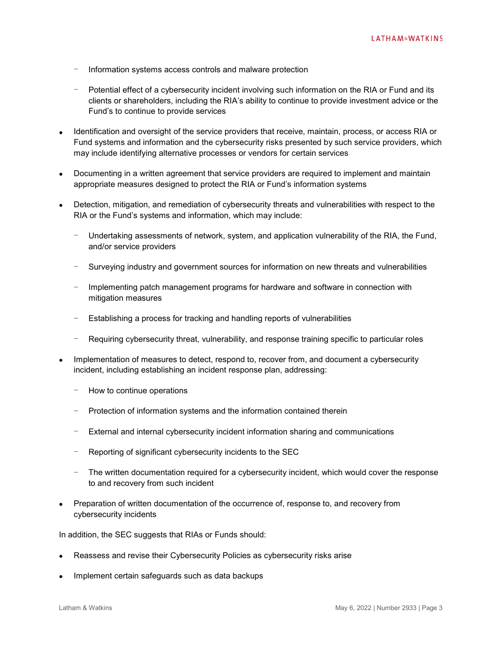- Information systems access controls and malware protection
- Potential effect of a cybersecurity incident involving such information on the RIA or Fund and its clients or shareholders, including the RIA's ability to continue to provide investment advice or the Fund's to continue to provide services
- Identification and oversight of the service providers that receive, maintain, process, or access RIA or Fund systems and information and the cybersecurity risks presented by such service providers, which may include identifying alternative processes or vendors for certain services
- Documenting in a written agreement that service providers are required to implement and maintain appropriate measures designed to protect the RIA or Fund's information systems
- Detection, mitigation, and remediation of cybersecurity threats and vulnerabilities with respect to the RIA or the Fund's systems and information, which may include:
	- Undertaking assessments of network, system, and application vulnerability of the RIA, the Fund, and/or service providers
	- Surveying industry and government sources for information on new threats and vulnerabilities
	- Implementing patch management programs for hardware and software in connection with mitigation measures
	- Establishing a process for tracking and handling reports of vulnerabilities
	- Requiring cybersecurity threat, vulnerability, and response training specific to particular roles
- Implementation of measures to detect, respond to, recover from, and document a cybersecurity incident, including establishing an incident response plan, addressing:
	- How to continue operations
	- Protection of information systems and the information contained therein
	- External and internal cybersecurity incident information sharing and communications
	- Reporting of significant cybersecurity incidents to the SEC
	- The written documentation required for a cybersecurity incident, which would cover the response to and recovery from such incident
- Preparation of written documentation of the occurrence of, response to, and recovery from cybersecurity incidents

In addition, the SEC suggests that RIAs or Funds should:

- Reassess and revise their Cybersecurity Policies as cybersecurity risks arise
- Implement certain safeguards such as data backups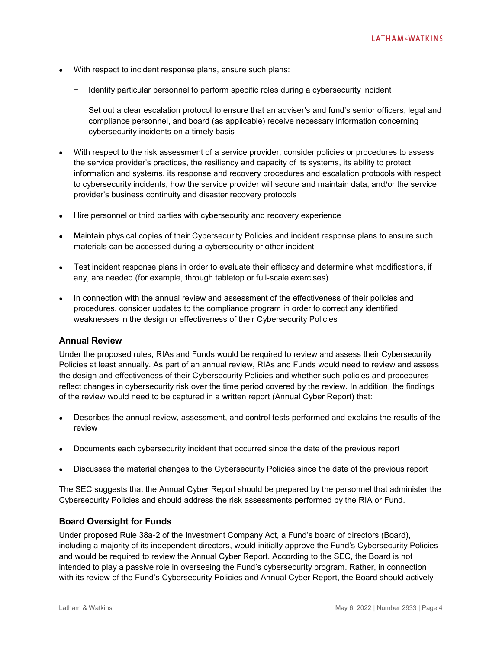- With respect to incident response plans, ensure such plans:
	- Identify particular personnel to perform specific roles during a cybersecurity incident
	- Set out a clear escalation protocol to ensure that an adviser's and fund's senior officers, legal and compliance personnel, and board (as applicable) receive necessary information concerning cybersecurity incidents on a timely basis
- With respect to the risk assessment of a service provider, consider policies or procedures to assess the service provider's practices, the resiliency and capacity of its systems, its ability to protect information and systems, its response and recovery procedures and escalation protocols with respect to cybersecurity incidents, how the service provider will secure and maintain data, and/or the service provider's business continuity and disaster recovery protocols
- Hire personnel or third parties with cybersecurity and recovery experience
- Maintain physical copies of their Cybersecurity Policies and incident response plans to ensure such materials can be accessed during a cybersecurity or other incident
- Test incident response plans in order to evaluate their efficacy and determine what modifications, if any, are needed (for example, through tabletop or full-scale exercises)
- In connection with the annual review and assessment of the effectiveness of their policies and procedures, consider updates to the compliance program in order to correct any identified weaknesses in the design or effectiveness of their Cybersecurity Policies

#### **Annual Review**

Under the proposed rules, RIAs and Funds would be required to review and assess their Cybersecurity Policies at least annually. As part of an annual review, RIAs and Funds would need to review and assess the design and effectiveness of their Cybersecurity Policies and whether such policies and procedures reflect changes in cybersecurity risk over the time period covered by the review. In addition, the findings of the review would need to be captured in a written report (Annual Cyber Report) that:

- Describes the annual review, assessment, and control tests performed and explains the results of the review
- Documents each cybersecurity incident that occurred since the date of the previous report
- Discusses the material changes to the Cybersecurity Policies since the date of the previous report

The SEC suggests that the Annual Cyber Report should be prepared by the personnel that administer the Cybersecurity Policies and should address the risk assessments performed by the RIA or Fund.

#### **Board Oversight for Funds**

Under proposed Rule 38a-2 of the Investment Company Act, a Fund's board of directors (Board), including a majority of its independent directors, would initially approve the Fund's Cybersecurity Policies and would be required to review the Annual Cyber Report. According to the SEC, the Board is not intended to play a passive role in overseeing the Fund's cybersecurity program. Rather, in connection with its review of the Fund's Cybersecurity Policies and Annual Cyber Report, the Board should actively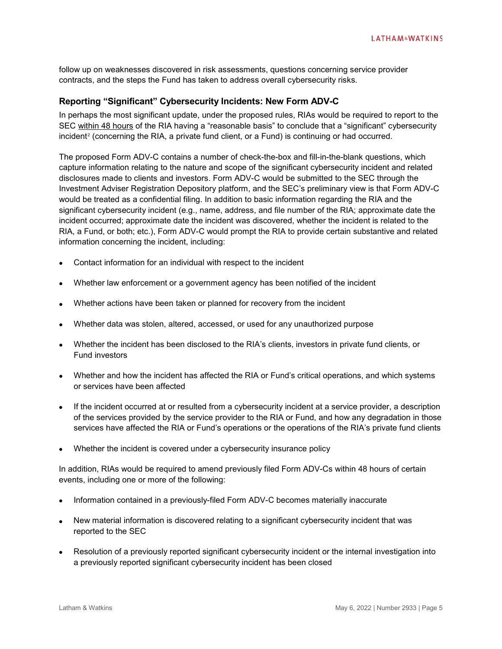follow up on weaknesses discovered in risk assessments, questions concerning service provider contracts, and the steps the Fund has taken to address overall cybersecurity risks.

#### **Reporting "Significant" Cybersecurity Incidents: New Form ADV-C**

In perhaps the most significant update, under the proposed rules, RIAs would be required to report to the SEC within 48 hours of the RIA having a "reasonable basis" to conclude that a "significant" cybersecurity  $incident<sup>2</sup>$  $incident<sup>2</sup>$  $incident<sup>2</sup>$  (concerning the RIA, a private fund client, or a Fund) is continuing or had occurred.

The proposed Form ADV-C contains a number of check-the-box and fill-in-the-blank questions, which capture information relating to the nature and scope of the significant cybersecurity incident and related disclosures made to clients and investors. Form ADV-C would be submitted to the SEC through the Investment Adviser Registration Depository platform, and the SEC's preliminary view is that Form ADV-C would be treated as a confidential filing. In addition to basic information regarding the RIA and the significant cybersecurity incident (e.g., name, address, and file number of the RIA; approximate date the incident occurred; approximate date the incident was discovered, whether the incident is related to the RIA, a Fund, or both; etc.), Form ADV-C would prompt the RIA to provide certain substantive and related information concerning the incident, including:

- Contact information for an individual with respect to the incident
- Whether law enforcement or a government agency has been notified of the incident
- Whether actions have been taken or planned for recovery from the incident
- Whether data was stolen, altered, accessed, or used for any unauthorized purpose
- Whether the incident has been disclosed to the RIA's clients, investors in private fund clients, or Fund investors
- Whether and how the incident has affected the RIA or Fund's critical operations, and which systems or services have been affected
- If the incident occurred at or resulted from a cybersecurity incident at a service provider, a description of the services provided by the service provider to the RIA or Fund, and how any degradation in those services have affected the RIA or Fund's operations or the operations of the RIA's private fund clients
- Whether the incident is covered under a cybersecurity insurance policy

In addition, RIAs would be required to amend previously filed Form ADV-Cs within 48 hours of certain events, including one or more of the following:

- Information contained in a previously-filed Form ADV-C becomes materially inaccurate
- New material information is discovered relating to a significant cybersecurity incident that was reported to the SEC
- Resolution of a previously reported significant cybersecurity incident or the internal investigation into a previously reported significant cybersecurity incident has been closed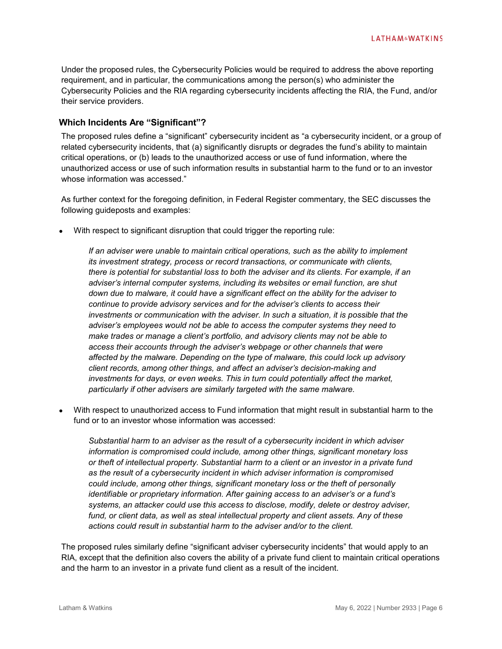Under the proposed rules, the Cybersecurity Policies would be required to address the above reporting requirement, and in particular, the communications among the person(s) who administer the Cybersecurity Policies and the RIA regarding cybersecurity incidents affecting the RIA, the Fund, and/or their service providers.

#### **Which Incidents Are "Significant"?**

The proposed rules define a "significant" cybersecurity incident as "a cybersecurity incident, or a group of related cybersecurity incidents, that (a) significantly disrupts or degrades the fund's ability to maintain critical operations, or (b) leads to the unauthorized access or use of fund information, where the unauthorized access or use of such information results in substantial harm to the fund or to an investor whose information was accessed."

As further context for the foregoing definition, in Federal Register commentary, the SEC discusses the following guideposts and examples:

• With respect to significant disruption that could trigger the reporting rule:

*If an adviser were unable to maintain critical operations, such as the ability to implement its investment strategy, process or record transactions, or communicate with clients, there is potential for substantial loss to both the adviser and its clients. For example, if an adviser's internal computer systems, including its websites or email function, are shut down due to malware, it could have a significant effect on the ability for the adviser to continue to provide advisory services and for the adviser's clients to access their investments or communication with the adviser. In such a situation, it is possible that the adviser's employees would not be able to access the computer systems they need to make trades or manage a client's portfolio, and advisory clients may not be able to access their accounts through the adviser's webpage or other channels that were affected by the malware. Depending on the type of malware, this could lock up advisory client records, among other things, and affect an adviser's decision-making and investments for days, or even weeks. This in turn could potentially affect the market, particularly if other advisers are similarly targeted with the same malware.*

• With respect to unauthorized access to Fund information that might result in substantial harm to the fund or to an investor whose information was accessed:

*Substantial harm to an adviser as the result of a cybersecurity incident in which adviser information is compromised could include, among other things, significant monetary loss or theft of intellectual property. Substantial harm to a client or an investor in a private fund as the result of a cybersecurity incident in which adviser information is compromised could include, among other things, significant monetary loss or the theft of personally identifiable or proprietary information. After gaining access to an adviser's or a fund's systems, an attacker could use this access to disclose, modify, delete or destroy adviser, fund, or client data, as well as steal intellectual property and client assets. Any of these actions could result in substantial harm to the adviser and/or to the client.*

The proposed rules similarly define "significant adviser cybersecurity incidents" that would apply to an RIA, except that the definition also covers the ability of a private fund client to maintain critical operations and the harm to an investor in a private fund client as a result of the incident.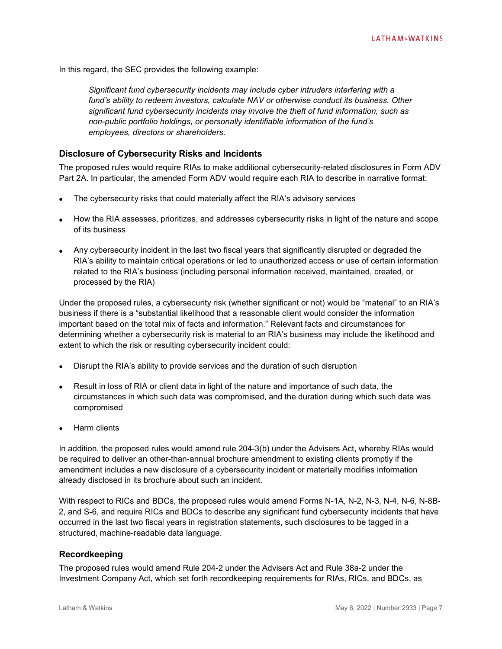In this regard, the SEC provides the following example:

*Significant fund cybersecurity incidents may include cyber intruders interfering with a fund's ability to redeem investors, calculate NAV or otherwise conduct its business. Other significant fund cybersecurity incidents may involve the theft of fund information, such as non-public portfolio holdings, or personally identifiable information of the fund's employees, directors or shareholders.*

#### **Disclosure of Cybersecurity Risks and Incidents**

The proposed rules would require RIAs to make additional cybersecurity-related disclosures in Form ADV Part 2A. In particular, the amended Form ADV would require each RIA to describe in narrative format:

- The cybersecurity risks that could materially affect the RIA's advisory services
- How the RIA assesses, prioritizes, and addresses cybersecurity risks in light of the nature and scope of its business
- Any cybersecurity incident in the last two fiscal years that significantly disrupted or degraded the RIA's ability to maintain critical operations or led to unauthorized access or use of certain information related to the RIA's business (including personal information received, maintained, created, or processed by the RIA)

Under the proposed rules, a cybersecurity risk (whether significant or not) would be "material" to an RIA's business if there is a "substantial likelihood that a reasonable client would consider the information important based on the total mix of facts and information." Relevant facts and circumstances for determining whether a cybersecurity risk is material to an RIA's business may include the likelihood and extent to which the risk or resulting cybersecurity incident could:

- Disrupt the RIA's ability to provide services and the duration of such disruption
- Result in loss of RIA or client data in light of the nature and importance of such data, the circumstances in which such data was compromised, and the duration during which such data was compromised
- Harm clients

In addition, the proposed rules would amend rule 204-3(b) under the Advisers Act, whereby RIAs would be required to deliver an other-than-annual brochure amendment to existing clients promptly if the amendment includes a new disclosure of a cybersecurity incident or materially modifies information already disclosed in its brochure about such an incident.

With respect to RICs and BDCs, the proposed rules would amend Forms N-1A, N-2, N-3, N-4, N-6, N-8B-2, and S-6, and require RICs and BDCs to describe any significant fund cybersecurity incidents that have occurred in the last two fiscal years in registration statements, such disclosures to be tagged in a structured, machine-readable data language.

#### **Recordkeeping**

The proposed rules would amend Rule 204-2 under the Advisers Act and Rule 38a-2 under the Investment Company Act, which set forth recordkeeping requirements for RIAs, RICs, and BDCs, as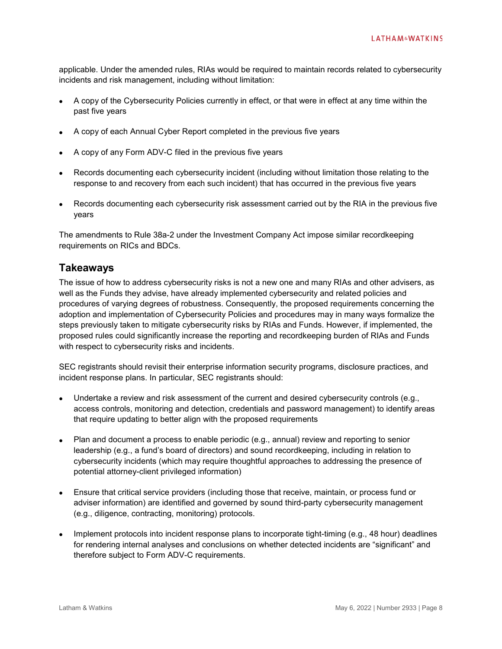applicable. Under the amended rules, RIAs would be required to maintain records related to cybersecurity incidents and risk management, including without limitation:

- A copy of the Cybersecurity Policies currently in effect, or that were in effect at any time within the past five years
- A copy of each Annual Cyber Report completed in the previous five years
- A copy of any Form ADV-C filed in the previous five years
- Records documenting each cybersecurity incident (including without limitation those relating to the response to and recovery from each such incident) that has occurred in the previous five years
- Records documenting each cybersecurity risk assessment carried out by the RIA in the previous five years

The amendments to Rule 38a-2 under the Investment Company Act impose similar recordkeeping requirements on RICs and BDCs.

#### **Takeaways**

The issue of how to address cybersecurity risks is not a new one and many RIAs and other advisers, as well as the Funds they advise, have already implemented cybersecurity and related policies and procedures of varying degrees of robustness. Consequently, the proposed requirements concerning the adoption and implementation of Cybersecurity Policies and procedures may in many ways formalize the steps previously taken to mitigate cybersecurity risks by RIAs and Funds. However, if implemented, the proposed rules could significantly increase the reporting and recordkeeping burden of RIAs and Funds with respect to cybersecurity risks and incidents.

SEC registrants should revisit their enterprise information security programs, disclosure practices, and incident response plans. In particular, SEC registrants should:

- Undertake a review and risk assessment of the current and desired cybersecurity controls (e.g., access controls, monitoring and detection, credentials and password management) to identify areas that require updating to better align with the proposed requirements
- Plan and document a process to enable periodic (e.g., annual) review and reporting to senior leadership (e.g., a fund's board of directors) and sound recordkeeping, including in relation to cybersecurity incidents (which may require thoughtful approaches to addressing the presence of potential attorney-client privileged information)
- Ensure that critical service providers (including those that receive, maintain, or process fund or adviser information) are identified and governed by sound third-party cybersecurity management (e.g., diligence, contracting, monitoring) protocols.
- Implement protocols into incident response plans to incorporate tight-timing (e.g., 48 hour) deadlines for rendering internal analyses and conclusions on whether detected incidents are "significant" and therefore subject to Form ADV-C requirements.